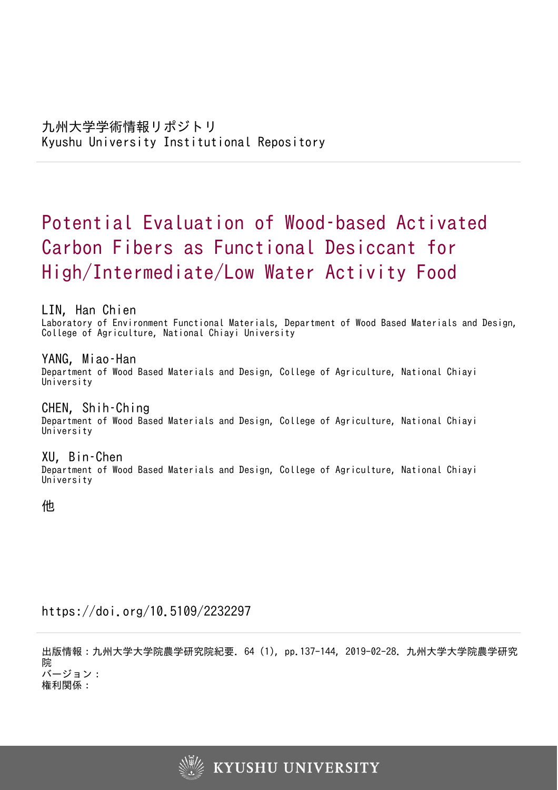# Potential Evaluation of Wood–based Activated Carbon Fibers as Functional Desiccant for High/Intermediate/Low Water Activity Food

LIN, Han Chien

Laboratory of Environment Functional Materials, Department of Wood Based Materials and Design, College of Agriculture, National Chiayi University

YANG, Miao–Han Department of Wood Based Materials and Design, College of Agriculture, National Chiayi University

CHEN, Shih–Ching Department of Wood Based Materials and Design, College of Agriculture, National Chiayi University

XU, Bin–Chen Department of Wood Based Materials and Design, College of Agriculture, National Chiayi University

他

https://doi.org/10.5109/2232297

出版情報:九州大学大学院農学研究院紀要. 64 (1), pp.137-144, 2019-02-28. 九州大学大学院農学研究 院 バージョン:

権利関係:

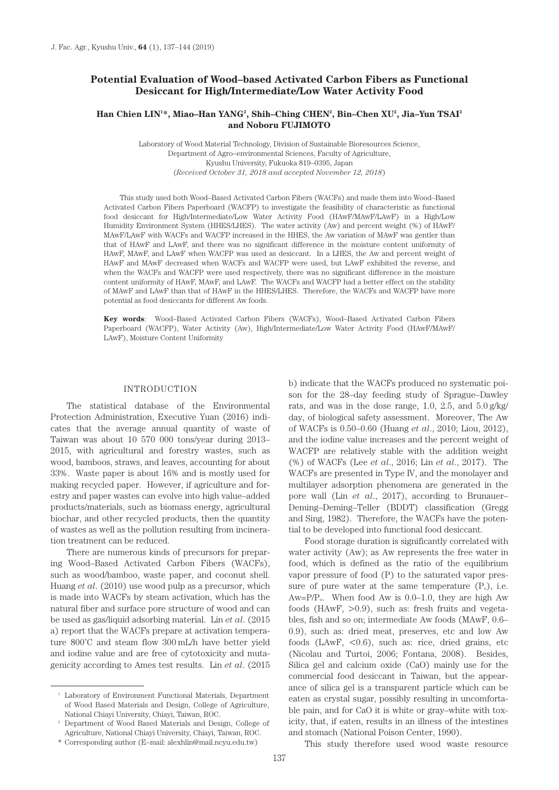# **Potential Evaluation of Wood–based Activated Carbon Fibers as Functional Desiccant for High/Intermediate/Low Water Activity Food**

# $\boldsymbol{\mathrm{H}}$ an Chien LIN<sup>1</sup>\*, Miao–Han YANG<sup>2</sup>, Shih–Ching CHEN<sup>2</sup>, Bin–Chen XU<sup>2</sup>, Jia–Yun TSAI<sup>2</sup> **and Noboru FUJIMOTO**

Laboratory of Wood Material Technology, Division of Sustainable Bioresources Science, Department of Agro–environmental Sciences, Faculty of Agriculture, Kyushu University, Fukuoka 819–0395, Japan (*Received October 31, 2018 and accepted November 12, 2018*)

This study used both Wood–Based Activated Carbon Fibers (WACFs) and made them into Wood–Based Activated Carbon Fibers Paperboard (WACFP) to investigate the feasibility of characteristic as functional food desiccant for High/Intermediate/Low Water Activity Food (HAwF/MAwF/LAwF) in a High/Low Humidity Environment System (HHES/LHES). The water activity (Aw) and percent weight (%) of HAwF/ MAwF/LAwF with WACFs and WACFP increased in the HHES, the Aw variation of MAwF was gentler than that of HAwF and LAwF, and there was no significant difference in the moisture content uniformity of HAwF, MAwF, and LAwF when WACFP was used as desiccant. In a LHES, the Aw and percent weight of HAwF and MAwF decreased when WACFs and WACFP were used, but LAwF exhibited the reverse, and when the WACFs and WACFP were used respectively, there was no significant difference in the moisture content uniformity of HAwF, MAwF, and LAwF. The WACFs and WACFP had a better effect on the stability of MAwF and LAwF than that of HAwF in the HHES/LHES. Therefore, the WACFs and WACFP have more potential as food desiccants for different Aw foods.

**Key words**: Wood–Based Activated Carbon Fibers (WACFs), Wood–Based Activated Carbon Fibers Paperboard (WACFP), Water Activity (Aw), High/Intermediate/Low Water Activity Food (HAwF/MAwF/ LAwF), Moisture Content Uniformity

# INTRODUCTION

The statistical database of the Environmental Protection Administration, Executive Yuan (2016) indicates that the average annual quantity of waste of Taiwan was about 10 570 000 tons/year during 2013– 2015, with agricultural and forestry wastes, such as wood, bamboos, straws, and leaves, accounting for about 33%. Waste paper is about 16% and is mostly used for making recycled paper. However, if agriculture and forestry and paper wastes can evolve into high value–added products/materials, such as biomass energy, agricultural biochar, and other recycled products, then the quantity of wastes as well as the pollution resulting from incineration treatment can be reduced.

There are numerous kinds of precursors for preparing Wood–Based Activated Carbon Fibers (WACFs), such as wood/bamboo, waste paper, and coconut shell. Huang *et al*. (2010) use wood pulp as a precursor, which is made into WACFs by steam activation, which has the natural fiber and surface pore structure of wood and can be used as gas/liquid adsorbing material. Lin *et al*. (2015 a) report that the WACFs prepare at activation temperature 800˚C and steam flow 300 mL/h have better yield and iodine value and are free of cytotoxicity and mutagenicity according to Ames test results. Lin *et al*. (2015 b) indicate that the WACFs produced no systematic poison for the 28–day feeding study of Sprague–Dawley rats, and was in the dose range, 1.0, 2.5, and 5.0 g/kg/ day, of biological safety assessment. Moreover, The Aw of WACFs is 0.50–0.60 (Huang *et al*., 2010; Liou, 2012), and the iodine value increases and the percent weight of WACFP are relatively stable with the addition weight (%) of WACFs (Lee *et al*., 2016; Lin *et al*., 2017). The WACFs are presented in Type IV, and the monolayer and multilayer adsorption phenomena are generated in the pore wall (Lin *et al*., 2017), according to Brunauer– Deming–Deming–Teller (BDDT) classification (Gregg and Sing, 1982). Therefore, the WACFs have the potential to be developed into functional food desiccant.

Food storage duration is significantly correlated with water activity (Aw); as Aw represents the free water in food, which is defined as the ratio of the equilibrium vapor pressure of food (P) to the saturated vapor pressure of pure water at the same temperature  $(P_0)$ , i.e.  $Aw=PP<sub>0</sub>$ . When food Aw is 0.0–1.0, they are high Aw foods (HAwF, >0.9), such as: fresh fruits and vegetables, fish and so on; intermediate Aw foods (MAwF, 0.6– 0.9), such as: dried meat, preserves, etc and low Aw foods (LAwF,  $< 0.6$ ), such as: rice, dried grains, etc (Nicolau and Turtoi, 2006; Fontana, 2008). Besides, Silica gel and calcium oxide (CaO) mainly use for the commercial food desiccant in Taiwan, but the appearance of silica gel is a transparent particle which can be eaten as crystal sugar, possibly resulting in uncomfortable pain, and for CaO it is white or gray–white with toxicity, that, if eaten, results in an illness of the intestines and stomach (National Poison Center, 1990).

This study therefore used wood waste resource

<sup>&</sup>lt;sup>1</sup> Laboratory of Environment Functional Materials, Department of Wood Based Materials and Design, College of Agriculture, National Chiayi University, Chiayi, Taiwan, ROC.

<sup>2</sup> Department of Wood Based Materials and Design, College of Agriculture, National Chiayi University, Chiayi, Taiwan, ROC.

<sup>\*</sup> Corresponding author (E–mail: alexhlin@mail.ncyu.edu.tw)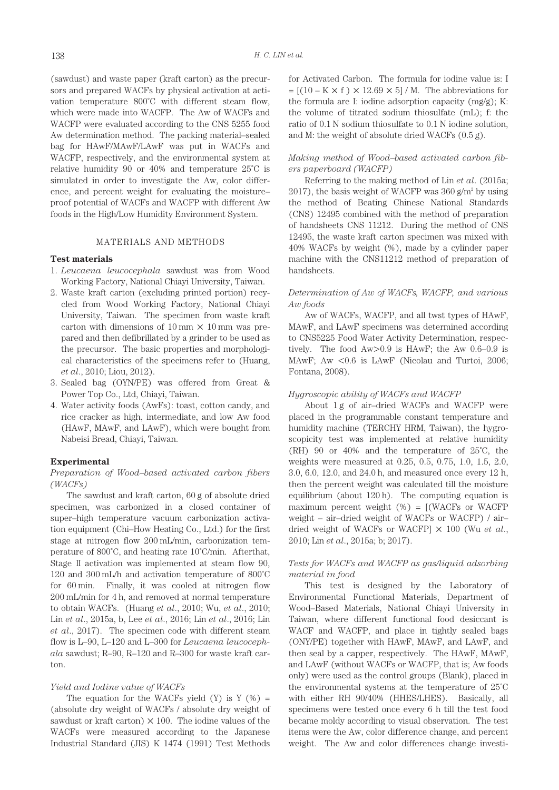(sawdust) and waste paper (kraft carton) as the precursors and prepared WACFs by physical activation at activation temperature 800˚C with different steam flow, which were made into WACFP. The Aw of WACFs and WACFP were evaluated according to the CNS 5255 food Aw determination method. The packing material–sealed bag for HAwF/MAwF/LAwF was put in WACFs and WACFP, respectively, and the environmental system at relative humidity 90 or 40% and temperature 25˚C is simulated in order to investigate the Aw, color difference, and percent weight for evaluating the moisture– proof potential of WACFs and WACFP with different Aw foods in the High/Low Humidity Environment System.

# MATERIALS AND METHODS

## **Test materials**

- 1. *Leucaena leucocephala* sawdust was from Wood Working Factory, National Chiayi University, Taiwan.
- 2. Waste kraft carton (excluding printed portion) recycled from Wood Working Factory, National Chiayi University, Taiwan. The specimen from waste kraft carton with dimensions of 10 mm  $\times$  10 mm was prepared and then defibrillated by a grinder to be used as the precursor. The basic properties and morphological characteristics of the specimens refer to (Huang, *et al*., 2010; Liou, 2012).
- 3. Sealed bag (OYN/PE) was offered from Great & Power Top Co., Ltd, Chiayi, Taiwan.
- 4. Water activity foods (AwFs): toast, cotton candy, and rice cracker as high, intermediate, and low Aw food (HAwF, MAwF, and LAwF), which were bought from Nabeisi Bread, Chiayi, Taiwan.

## **Experimental**

# *Preparation of Wood–based activated carbon fibers (WACFs)*

The sawdust and kraft carton, 60 g of absolute dried specimen, was carbonized in a closed container of super–high temperature vacuum carbonization activation equipment (Chi–How Heating Co., Ltd.) for the first stage at nitrogen flow 200 mL/min, carbonization temperature of 800˚C, and heating rate 10˚C/min. Afterthat, Stage II activation was implemented at steam flow 90, 120 and 300 mL/h and activation temperature of 800˚C for 60 min. Finally, it was cooled at nitrogen flow 200 mL/min for 4 h, and removed at normal temperature to obtain WACFs. (Huang *et al*., 2010; Wu, *et al*., 2010; Lin *et al*., 2015a, b, Lee *et al*., 2016; Lin *et al*., 2016; Lin *et al*., 2017). The specimen code with different steam flow is L–90, L–120 and L–300 for *Leucaena leucocephala* sawdust; R–90, R–120 and R–300 for waste kraft carton.

# *Yield and Iodine value of WACFs*

The equation for the WACFs yield  $(Y)$  is  $Y(\%) =$ (absolute dry weight of WACFs / absolute dry weight of sawdust or kraft carton)  $\times$  100. The iodine values of the WACFs were measured according to the Japanese Industrial Standard (JIS) K 1474 (1991) Test Methods

for Activated Carbon. The formula for iodine value is: I  $=[(10 - K \times f) \times 12.69 \times 5] / M$ . The abbreviations for the formula are I: iodine adsorption capacity (mg/g); K: the volume of titrated sodium thiosulfate (mL); f: the ratio of 0.1 N sodium thiosulfate to 0.1 N iodine solution, and M: the weight of absolute dried WACFs (0.5 g).

# *Making method of Wood–based activated carbon fibers paperboard (WACFP)*

Referring to the making method of Lin *et al*. (2015a; 2017), the basis weight of WACFP was  $360$  g/m<sup>2</sup> by using the method of Beating Chinese National Standards (CNS) 12495 combined with the method of preparation of handsheets CNS 11212. During the method of CNS 12495, the waste kraft carton specimen was mixed with 40% WACFs by weight (%), made by a cylinder paper machine with the CNS11212 method of preparation of handsheets.

# *Determination of Aw of WACFs, WACFP, and various Aw foods*

Aw of WACFs, WACFP, and all twst types of HAwF, MAwF, and LAwF specimens was determined according to CNS5225 Food Water Activity Determination, respectively. The food Aw>0.9 is HAwF; the Aw 0.6–0.9 is MAwF; Aw <0.6 is LAwF (Nicolau and Turtoi, 2006; Fontana, 2008).

## *Hygroscopic ability of WACFs and WACFP*

About 1 g of air–dried WACFs and WACFP were placed in the programmable constant temperature and humidity machine (TERCHY HRM, Taiwan), the hygroscopicity test was implemented at relative humidity (RH) 90 or 40% and the temperature of 25˚C, the weights were measured at 0.25, 0.5, 0.75, 1.0, 1.5, 2.0, 3.0, 6.0, 12.0, and 24.0 h, and measured once every 12 h, then the percent weight was calculated till the moisture equilibrium (about 120 h). The computing equation is maximum percent weight  $(\%) = [(\text{WACFs or WACFP})]$ weight – air–dried weight of WACFs or WACFP) / air– dried weight of WACFs or WACFP] × 100 (Wu *et al*., 2010; Lin *et al*., 2015a; b; 2017).

# *Tests for WACFs and WACFP as gas/liquid adsorbing material in food*

This test is designed by the Laboratory of Environmental Functional Materials, Department of Wood–Based Materials, National Chiayi University in Taiwan, where different functional food desiccant is WACF and WACFP, and place in tightly sealed bags (ONY/PE) together with HAwF, MAwF, and LAwF, and then seal by a capper, respectively. The HAwF, MAwF, and LAwF (without WACFs or WACFP, that is; Aw foods only) were used as the control groups (Blank), placed in the environmental systems at the temperature of 25˚C with either RH 90/40% (HHES/LHES). Basically, all specimens were tested once every 6 h till the test food became moldy according to visual observation. The test items were the Aw, color difference change, and percent weight. The Aw and color differences change investi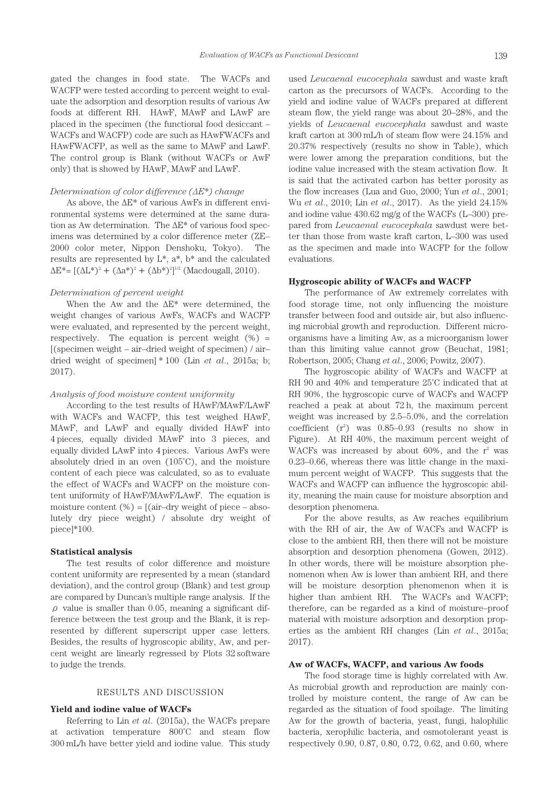gated the changes in food state. The WACFs and WACFP were tested according to percent weight to evaluate the adsorption and desorption results of various Aw foods at different RH. HAwF, MAwF and LAwF are placed in the specimen (the functional food desiccant – WACFs and WACFP) code are such as HAwFWACFs and HAwFWACFP, as well as the same to MAwF and LawF. The control group is Blank (without WACFs or AwF only) that is showed by HAwF, MAwF and LAwF.

#### *Determination of color difference (ΔE\*) change*

As above, the ΔE\* of various AwFs in different environmental systems were determined at the same duration as Aw determination. The ΔE\* of various food specimens was determined by a color difference meter (ZE– 2000 color meter, Nippon Denshoku, Tokyo). The results are represented by L\*, a\*, b\* and the calculated  $\Delta E^* = [(\Delta L^*)^2 + (\Delta a^*)^2 + (\Delta b^*)^2]^{1/2}$  (Macdougall, 2010).

# *Determination of percent weight*

When the Aw and the  $\Delta E^*$  were determined, the weight changes of various AwFs, WACFs and WACFP were evaluated, and represented by the percent weight, respectively. The equation is percent weight  $(\%)$  = [(specimen weight – air–dried weight of specimen) / air– dried weight of specimen] \* 100 (Lin *et al*., 2015a; b; 2017).

# *Analysis of food moisture content uniformity*

According to the test results of HAwF/MAwF/LAwF with WACFs and WACFP, this test weighed HAwF, MAwF, and LAwF and equally divided HAwF into 4 pieces, equally divided MAwF into 3 pieces, and equally divided LAwF into 4 pieces. Various AwFs were absolutely dried in an oven (105˚C), and the moisture content of each piece was calculated, so as to evaluate the effect of WACFs and WACFP on the moisture content uniformity of HAwF/MAwF/LAwF. The equation is moisture content  $(\%) = [(\text{air} - \text{dry weight of piece} - \text{abso} - \text{H}}]$ lutely dry piece weight) / absolute dry weight of piece]\*100.

#### **Statistical analysis**

The test results of color difference and moisture content uniformity are represented by a mean (standard deviation), and the control group (Blank) and test group are compared by Duncan's multiple range analysis. If the  $\rho$  value is smaller than 0.05, meaning a significant difference between the test group and the Blank, it is represented by different superscript upper case letters. Besides, the results of hygroscopic ability, Aw, and percent weight are linearly regressed by Plots 32 software to judge the trends.

# RESULTS AND DISCUSSION

#### **Yield and iodine value of WACFs**

Referring to Lin *et al*. (2015a), the WACFs prepare at activation temperature 800˚C and steam flow 300 mL/h have better yield and iodine value. This study

used *Leucaenal eucocephala* sawdust and waste kraft carton as the precursors of WACFs. According to the yield and iodine value of WACFs prepared at different steam flow, the yield range was about 20–28%, and the yields of *Leucaenal eucocephala* sawdust and waste kraft carton at 300 mL/h of steam flow were 24.15% and 20.37% respectively (results no show in Table), which were lower among the preparation conditions, but the iodine value increased with the steam activation flow. It is said that the activated carbon has better porosity as the flow increases (Lua and Guo, 2000; Yun *et al*., 2001; Wu *et al*., 2010; Lin *et al*., 2017). As the yield 24.15% and iodine value 430.62 mg/g of the WACFs (L–300) prepared from *Leucaenal eucocephala* sawdust were better than those from waste kraft carton, L–300 was used as the specimen and made into WACFP for the follow evaluations.

# **Hygroscopic ability of WACFs and WACFP**

The performance of Aw extremely correlates with food storage time, not only influencing the moisture transfer between food and outside air, but also influencing microbial growth and reproduction. Different microorganisms have a limiting Aw, as a microorganism lower than this limiting value cannot grow (Beuchat, 1981; Robertson, 2005; Chang *et al*., 2006; Powitz, 2007).

The hygroscopic ability of WACFs and WACFP at RH 90 and 40% and temperature 25˚C indicated that at RH 90%, the hygroscopic curve of WACFs and WACFP reached a peak at about 72 h, the maximum percent weight was increased by 2.5–5.0%, and the correlation coefficient  $(r^2)$  was  $0.85-0.93$  (results no show in Figure). At RH 40%, the maximum percent weight of WACFs was increased by about 60%, and the  $r^2$  was 0.23–0.66, whereas there was little change in the maximum percent weight of WACFP. This suggests that the WACFs and WACFP can influence the hygroscopic ability, meaning the main cause for moisture absorption and desorption phenomena.

For the above results, as Aw reaches equilibrium with the RH of air, the Aw of WACFs and WACFP is close to the ambient RH, then there will not be moisture absorption and desorption phenomena (Gowen, 2012). In other words, there will be moisture absorption phenomenon when Aw is lower than ambient RH, and there will be moisture desorption phenomenon when it is higher than ambient RH. The WACFs and WACFP; therefore, can be regarded as a kind of moisture–proof material with moisture adsorption and desorption properties as the ambient RH changes (Lin *et al*., 2015a; 2017).

## **Aw of WACFs, WACFP, and various Aw foods**

The food storage time is highly correlated with Aw. As microbial growth and reproduction are mainly controlled by moisture content, the range of Aw can be regarded as the situation of food spoilage. The limiting Aw for the growth of bacteria, yeast, fungi, halophilic bacteria, xerophilic bacteria, and osmotolerant yeast is respectively 0.90, 0.87, 0.80, 0.72, 0.62, and 0.60, where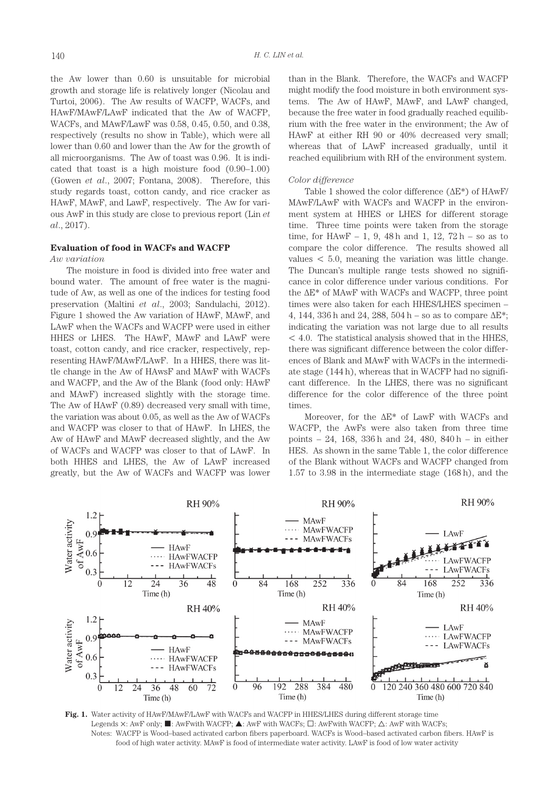the Aw lower than 0.60 is unsuitable for microbial growth and storage life is relatively longer (Nicolau and Turtoi, 2006). The Aw results of WACFP, WACFs, and HAwF/MAwF/LAwF indicated that the Aw of WACFP, WACFs, and MAwF/LawF was 0.58, 0.45, 0.50, and 0.38, respectively (results no show in Table), which were all lower than 0.60 and lower than the Aw for the growth of all microorganisms. The Aw of toast was 0.96. It is indicated that toast is a high moisture food (0.90–1.00) (Gowen *et al*., 2007; Fontana, 2008). Therefore, this study regards toast, cotton candy, and rice cracker as HAwF, MAwF, and LawF, respectively. The Aw for various AwF in this study are close to previous report (Lin *et al*., 2017).

# **Evaluation of food in WACFs and WACFP**

# *Aw variation*

The moisture in food is divided into free water and bound water. The amount of free water is the magnitude of Aw, as well as one of the indices for testing food preservation (Maltini *et al*., 2003; Sandulachi, 2012). Figure 1 showed the Aw variation of HAwF, MAwF, and LAwF when the WACFs and WACFP were used in either HHES or LHES. The HAwF, MAwF and LAwF were toast, cotton candy, and rice cracker, respectively, representing HAwF/MAwF/LAwF. In a HHES, there was little change in the Aw of HAwsF and MAwF with WACFs and WACFP, and the Aw of the Blank (food only: HAwF and MAwF) increased slightly with the storage time. The Aw of HAwF (0.89) decreased very small with time, the variation was about 0.05, as well as the Aw of WACFs and WACFP was closer to that of HAwF. In LHES, the Aw of HAwF and MAwF decreased slightly, and the Aw of WACFs and WACFP was closer to that of LAwF. In both HHES and LHES, the Aw of LAwF increased greatly, but the Aw of WACFs and WACFP was lower than in the Blank. Therefore, the WACFs and WACFP might modify the food moisture in both environment systems. The Aw of HAwF, MAwF, and LAwF changed, because the free water in food gradually reached equilibrium with the free water in the environment; the Aw of HAwF at either RH 90 or 40% decreased very small; whereas that of LAwF increased gradually, until it reached equilibrium with RH of the environment system.

## *Color difference*

Table 1 showed the color difference (ΔE\*) of HAwF/ MAwF/LAwF with WACFs and WACFP in the environment system at HHES or LHES for different storage time. Three time points were taken from the storage time, for HAwF – 1, 9, 48 h and 1, 12,  $72 h - so$  as to compare the color difference. The results showed all values  $< 5.0$ , meaning the variation was little change. The Duncan's multiple range tests showed no significance in color difference under various conditions. For the ΔE\* of MAwF with WACFs and WACFP, three point times were also taken for each HHES/LHES specimen – 4, 144, 336 h and 24, 288, 504 h – so as to compare  $\Delta E^*$ ; indicating the variation was not large due to all results < 4.0. The statistical analysis showed that in the HHES, there was significant difference between the color differences of Blank and MAwF with WACFs in the intermediate stage (144 h), whereas that in WACFP had no significant difference. In the LHES, there was no significant difference for the color difference of the three point times.

Moreover, for the ΔE\* of LawF with WACFs and WACFP, the AwFs were also taken from three time points – 24, 168, 336 h and 24, 480, 840 h – in either HES. As shown in the same Table 1, the color difference of the Blank without WACFs and WACFP changed from 1.57 to 3.98 in the intermediate stage (168 h), and the



**Fig. 1.** Water activity of HAwF/MAwF/LAwF with WACFs and WACFP in HHES/LHES during different storage time Legends  $\times$ : AwF only;  $\blacksquare$ : AwFwith WACFP;  $\blacktriangle$ : AwF with WACFs;  $\square$ : AwFwith WACFP;  $\triangle$ : AwF with WACFs; Notes: WACFP is Wood–based activated carbon fibers paperboard. WACFs is Wood–based activated carbon fibers. HAwF is food of high water activity. MAwF is food of intermediate water activity. LAwF is food of low water activity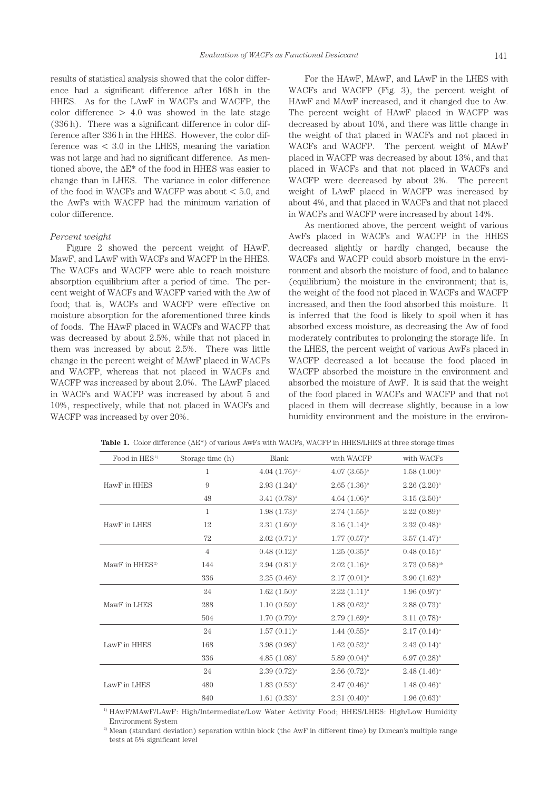results of statistical analysis showed that the color difference had a significant difference after 168 h in the HHES. As for the LAwF in WACFs and WACFP, the color difference  $> 4.0$  was showed in the late stage (336 h). There was a significant difference in color difference after 336 h in the HHES. However, the color difference was  $\lt$  3.0 in the LHES, meaning the variation was not large and had no significant difference. As mentioned above, the ΔE\* of the food in HHES was easier to change than in LHES. The variance in color difference of the food in WACFs and WACFP was about  $< 5.0$ , and the AwFs with WACFP had the minimum variation of color difference.

## *Percent weight*

Figure 2 showed the percent weight of HAwF, MawF, and LAwF with WACFs and WACFP in the HHES. The WACFs and WACFP were able to reach moisture absorption equilibrium after a period of time. The percent weight of WACFs and WACFP varied with the Aw of food; that is, WACFs and WACFP were effective on moisture absorption for the aforementioned three kinds of foods. The HAwF placed in WACFs and WACFP that was decreased by about 2.5%, while that not placed in them was increased by about 2.5%. There was little change in the percent weight of MAwF placed in WACFs and WACFP, whereas that not placed in WACFs and WACFP was increased by about 2.0%. The LAwF placed in WACFs and WACFP was increased by about 5 and 10%, respectively, while that not placed in WACFs and WACFP was increased by over 20%.

For the HAwF, MAwF, and LAwF in the LHES with WACFs and WACFP (Fig. 3), the percent weight of HAwF and MAwF increased, and it changed due to Aw. The percent weight of HAwF placed in WACFP was decreased by about 10%, and there was little change in the weight of that placed in WACFs and not placed in WACFs and WACFP. The percent weight of MAwF placed in WACFP was decreased by about 13%, and that placed in WACFs and that not placed in WACFs and WACFP were decreased by about 2%. The percent weight of LAwF placed in WACFP was increased by about 4%, and that placed in WACFs and that not placed in WACFs and WACFP were increased by about 14%.

As mentioned above, the percent weight of various AwFs placed in WACFs and WACFP in the HHES decreased slightly or hardly changed, because the WACFs and WACFP could absorb moisture in the environment and absorb the moisture of food, and to balance (equilibrium) the moisture in the environment; that is, the weight of the food not placed in WACFs and WACFP increased, and then the food absorbed this moisture. It is inferred that the food is likely to spoil when it has absorbed excess moisture, as decreasing the Aw of food moderately contributes to prolonging the storage life. In the LHES, the percent weight of various AwFs placed in WACFP decreased a lot because the food placed in WACFP absorbed the moisture in the environment and absorbed the moisture of AwF. It is said that the weight of the food placed in WACFs and WACFP and that not placed in them will decrease slightly, because in a low humidity environment and the moisture in the environ-

| Food in HES <sup>1)</sup>  | Storage time (h) | Blank                | with WACFP          | with WACFs                |
|----------------------------|------------------|----------------------|---------------------|---------------------------|
| HawF in HHES               | 1                | $4.04$ $(1.76)^{a1}$ | $4.07(3.65)^{a}$    | $1.58(1.00)^a$            |
|                            | 9                | $2.93(1.24)^{a}$     | $2.65(1.36)^{a}$    | $2.26$ $(2.20)^a$         |
|                            | 48               | $3.41~(0.78)^{a}$    | 4.64 $(1.06)^{a}$   | $3.15(2.50)^{a}$          |
| HawF in LHES               | 1                | $1.98(1.73)^{a}$     | $2.74$ $(1.55)^{a}$ | $2.22~(0.89)^{a}$         |
|                            | 12               | $2.31(1.60)^a$       | $3.16 (1.14)^a$     | $2.32(0.48)^{a}$          |
|                            | 72               | $2.02~(0.71)^{a}$    | $1.77~(0.57)^{a}$   | $3.57~(1.47)^{a}$         |
| MawF in HHES <sup>2)</sup> | $\overline{4}$   | $0.48(0.12)^{a}$     | $1.25(0.35)^{a}$    | $0.48(0.15)^{a}$          |
|                            | 144              | $2.94~(0.81)^{b}$    | $2.02$ $(1.16)^{a}$ | $2.73(0.58)^{ab}$         |
|                            | 336              | $2.25(0.46)^{b}$     | $2.17(0.01)^{a}$    | $3.90(1.62)^{b}$          |
| MawF in LHES               | 24               | $1.62$ $(1.50)^a$    | $2.22 (1.11)^{a}$   | $1.96(0.97)$ <sup>a</sup> |
|                            | 288              | $1.10(0.59)^{a}$     | $1.88(0.62)^{a}$    | $2.88(0.73)$ <sup>a</sup> |
|                            | 504              | $1.70~(0.79)^{a}$    | $2.79(1.69)^{a}$    | $3.11(0.78)^{a}$          |
| LawF in HHES               | 24               | $1.57(0.11)^{a}$     | $1.44~(0.55)^{a}$   | $2.17(0.14)^{a}$          |
|                            | 168              | $3.98(0.98)^{b}$     | $1.62~(0.52)^{a}$   | $2.43(0.14)^{a}$          |
|                            | 336              | $4.85(1.08)^{b}$     | $5.89(0.04)^{b}$    | $6.97~(0.28)^{b}$         |
| LawF in LHES               | 24               | $2.39(0.72)^{a}$     | $2.56(0.72)^{a}$    | $2.48(1.46)^a$            |
|                            | 480              | $1.83(0.53)^{a}$     | $2.47(0.46)^{a}$    | $1.48(0.46)$ <sup>a</sup> |
|                            | 840              | $1.61~(0.33)^{a}$    | $2.31(0.40)^{a}$    | $1.96(0.63)^{a}$          |

**Table 1.** Color difference ( $ΔE^*$ ) of various AwFs with WACFs, WACFP in HHES/LHES at three storage times

1) HAwF/MAwF/LAwF: High/Intermediate/Low Water Activity Food; HHES/LHES: High/Low Humidity Environment System

2) Mean (standard deviation) separation within block (the AwF in different time) by Duncan's multiple range tests at 5% significant level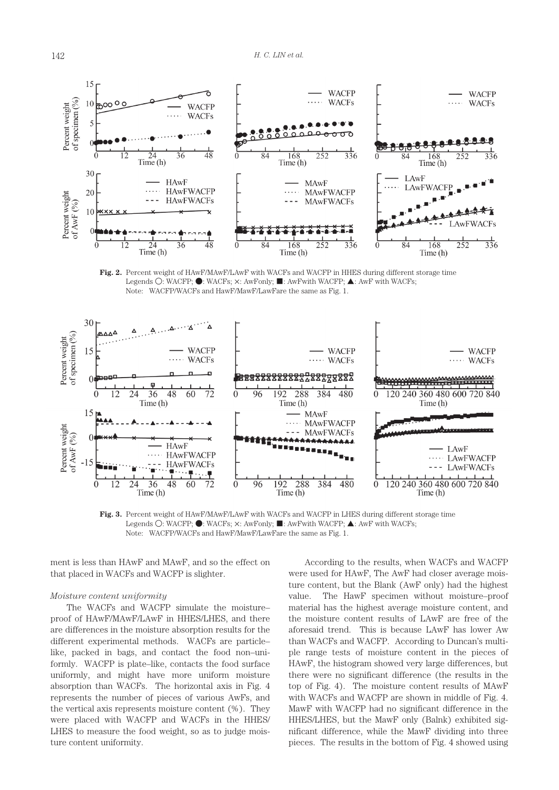

**Fig. 2.** Percent weight of HAwF/MAwF/LAwF with WACFs and WACFP in HHES during different storage time Legends O: WACFP; ●: WACFs;  $\times$ : AwFonly; ■: AwFwith WACFP; ▲: AwF with WACFs; Note: WACFP/WACFs and HawF/MawF/LawFare the same as Fig. 1.



Fig. 3. Percent weight of HAwF/MAwF/LAwF with WACFs and WACFP in LHES during different storage time Legends O: WACFP; ●: WACFs;  $\times$ : AwFonly; ■: AwFwith WACFP; ▲: AwF with WACFs; Note: WACFP/WACFs and HawF/MawF/LawFare the same as Fig. 1.

ment is less than HAwF and MAwF, and so the effect on that placed in WACFs and WACFP is slighter.

### *Moisture content uniformity*

The WACFs and WACFP simulate the moisture– proof of HAwF/MAwF/LAwF in HHES/LHES, and there are differences in the moisture absorption results for the different experimental methods. WACFs are particle– like, packed in bags, and contact the food non–uniformly. WACFP is plate–like, contacts the food surface uniformly, and might have more uniform moisture absorption than WACFs. The horizontal axis in Fig. 4 represents the number of pieces of various AwFs, and the vertical axis represents moisture content (%). They were placed with WACFP and WACFs in the HHES/ LHES to measure the food weight, so as to judge moisture content uniformity.

According to the results, when WACFs and WACFP were used for HAwF, The AwF had closer average moisture content, but the Blank (AwF only) had the highest value. The HawF specimen without moisture–proof material has the highest average moisture content, and the moisture content results of LAwF are free of the aforesaid trend. This is because LAwF has lower Aw than WACFs and WACFP. According to Duncan's multiple range tests of moisture content in the pieces of HAwF, the histogram showed very large differences, but there were no significant difference (the results in the top of Fig. 4). The moisture content results of MAwF with WACFs and WACFP are shown in middle of Fig. 4. MawF with WACFP had no significant difference in the HHES/LHES, but the MawF only (Balnk) exhibited significant difference, while the MawF dividing into three pieces. The results in the bottom of Fig. 4 showed using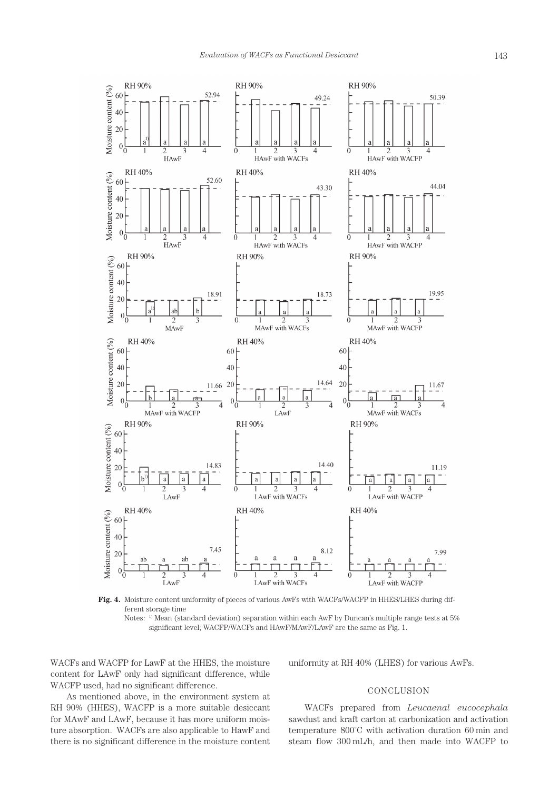

**Fig. 4.** Moisture content uniformity of pieces of various AwFs with WACFs/WACFP in HHES/LHES during different storage time

Notes: 1) Mean (standard deviation) separation within each AwF by Duncan's multiple range tests at 5% significant level; WACFP/WACFs and HAwF/MAwF/LAwF are the same as Fig. 1.

WACFs and WACFP for LawF at the HHES, the moisture content for LAwF only had significant difference, while WACFP used, had no significant difference.

uniformity at RH 40% (LHES) for various AwFs.

# CONCLUSION

As mentioned above, in the environment system at RH 90% (HHES), WACFP is a more suitable desiccant for MAwF and LAwF, because it has more uniform moisture absorption. WACFs are also applicable to HawF and there is no significant difference in the moisture content

WACFs prepared from *Leucaenal eucocephala* sawdust and kraft carton at carbonization and activation temperature 800˚C with activation duration 60 min and steam flow 300 mL/h, and then made into WACFP to